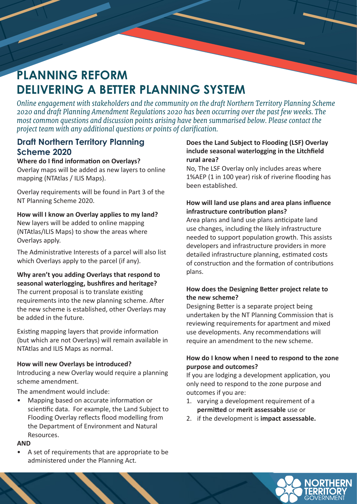# **PLANNING REFORM DELIVERING A BETTER PLANNING SYSTEM**

*Online engagement with stakeholders and the community on the draft Northern Territory Planning Scheme 2020 and draft Planning Amendment Regulations 2020 has been occurring over the past few weeks. The most common questions and discussion points arising have been summarised below. Please contact the project team with any additional questions or points of clarification.*

### **Draft Northern Territory Planning Scheme 2020**

#### **Where do I find information on Overlays?**

Overlay maps will be added as new layers to online mapping (NTAtlas / ILIS Maps).

Overlay requirements will be found in Part 3 of the NT Planning Scheme 2020.

#### **How will I know an Overlay applies to my land?**

New layers will be added to online mapping (NTAtlas/ILIS Maps) to show the areas where Overlays apply.

The Administrative Interests of a parcel will also list which Overlays apply to the parcel (if any).

## **Why aren't you adding Overlays that respond to seasonal waterlogging, bushfires and heritage?** The current proposal is to translate existing

requirements into the new planning scheme. After the new scheme is established, other Overlays may be added in the future.

Existing mapping layers that provide information (but which are not Overlays) will remain available in NTAtlas and ILIS Maps as normal.

#### **How will new Overlays be introduced?**

Introducing a new Overlay would require a planning scheme amendment.

The amendment would include:

• Mapping based on accurate information or scientific data. For example, the Land Subject to Flooding Overlay reflects flood modelling from the Department of Environment and Natural Resources.

#### **AND**

A set of requirements that are appropriate to be administered under the Planning Act.

#### **Does the Land Subject to Flooding (LSF) Overlay include seasonal waterlogging in the Litchfield rural area?**

No, The LSF Overlay only includes areas where 1%AEP (1 in 100 year) risk of riverine flooding has been established.

#### **How will land use plans and area plans influence infrastructure contribution plans?**

Area plans and land use plans anticipate land use changes, including the likely infrastructure needed to support population growth. This assists developers and infrastructure providers in more detailed infrastructure planning, estimated costs of construction and the formation of contributions plans.

#### **How does the Designing Better project relate to the new scheme?**

Designing Better is a separate project being undertaken by the NT Planning Commission that is reviewing requirements for apartment and mixed use developments. Any recommendations will require an amendment to the new scheme.

#### **How do I know when I need to respond to the zone purpose and outcomes?**

If you are lodging a development application, you only need to respond to the zone purpose and outcomes if you are:

- 1. varying a development requirement of a **permitted** or **merit assessable** use or
- 2. if the development is **impact assessable.**

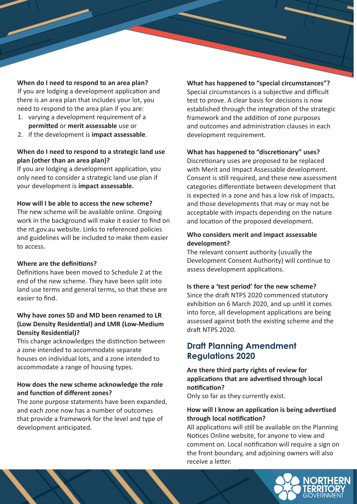#### **When do I need to respond to an area plan?**

If you are lodging a development application and there is an area plan that includes your lot, you need to respond to the area plan if you are:

- 1. varying a development requirement of a **permitted** or **merit assessable** use or
- 2. if the development is **impact assessable**.

#### **When do I need to respond to a strategic land use plan (other than an area plan)?**

If you are lodging a development application, you only need to consider a strategic land use plan if your development is **impact assessable.** 

#### **How will I be able to access the new scheme?**

The new scheme will be available online. Ongoing work in the background will make it easier to find on the nt.gov.au website. Links to referenced policies and guidelines will be included to make them easier to access.

#### **Where are the definitions?**

Definitions have been moved to Schedule 2 at the end of the new scheme. They have been split into land use terms and general terms, so that these are easier to find.

#### **Why have zones SD and MD been renamed to LR (Low Density Residential) and LMR (Low-Medium Density Residential)?**

This change acknowledges the distinction between a zone intended to accommodate separate houses on individual lots, and a zone intended to accommodate a range of housing types.

#### **How does the new scheme acknowledge the role and function of different zones?**

The zone purpose statements have been expanded, and each zone now has a number of outcomes that provide a framework for the level and type of development anticipated.

**What has happened to "special circumstances"?** Special circumstances is a subjective and difficult test to prove. A clear basis for decisions is now established through the integration of the strategic framework and the addition of zone purposes and outcomes and administration clauses in each development requirement.

#### **What has happened to "discretionary" uses?**

Discretionary uses are proposed to be replaced with Merit and Impact Assessable development. Consent is still required, and these new assessment categories differentiate between development that is expected in a zone and has a low risk of impacts, and those developments that may or may not be acceptable with impacts depending on the nature and location of the proposed development.

#### **Who considers merit and impact assessable development?**

The relevant consent authority (usually the Development Consent Authority) will continue to assess development applications.

#### **Is there a 'test period' for the new scheme?**

Since the draft NTPS 2020 commenced statutory exhibition on 6 March 2020, and up until it comes into force, all development applications are being assessed against both the existing scheme and the draft NTPS 2020.

## **Draft Planning Amendment Regulations 2020**

#### **Are there third party rights of review for applications that are advertised through local notification?**

Only so far as they currently exist.

#### **How will I know an application is being advertised through local notification?**

All applications will still be available on the Planning Notices Online website, for anyone to view and comment on. Local notification will require a sign on the front boundary, and adjoining owners will also receive a letter.